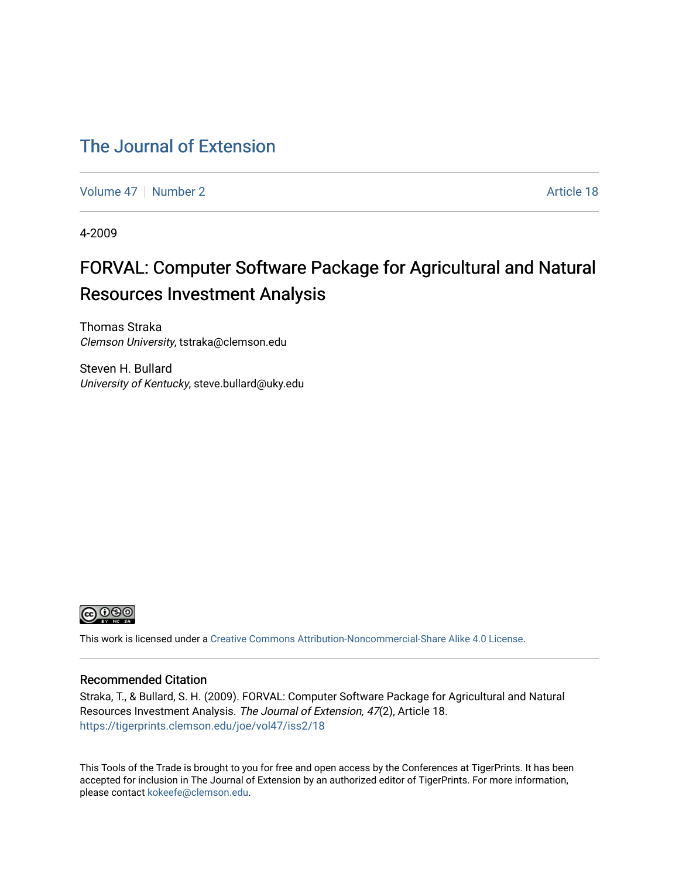### [The Journal of Extension](https://tigerprints.clemson.edu/joe)

[Volume 47](https://tigerprints.clemson.edu/joe/vol47) | [Number 2](https://tigerprints.clemson.edu/joe/vol47/iss2) Article 18

4-2009

## FORVAL: Computer Software Package for Agricultural and Natural Resources Investment Analysis

Thomas Straka Clemson University, tstraka@clemson.edu

Steven H. Bullard University of Kentucky, steve.bullard@uky.edu



This work is licensed under a [Creative Commons Attribution-Noncommercial-Share Alike 4.0 License.](https://creativecommons.org/licenses/by-nc-sa/4.0/)

#### Recommended Citation

Straka, T., & Bullard, S. H. (2009). FORVAL: Computer Software Package for Agricultural and Natural Resources Investment Analysis. The Journal of Extension, 47(2), Article 18. <https://tigerprints.clemson.edu/joe/vol47/iss2/18>

This Tools of the Trade is brought to you for free and open access by the Conferences at TigerPrints. It has been accepted for inclusion in The Journal of Extension by an authorized editor of TigerPrints. For more information, please contact [kokeefe@clemson.edu](mailto:kokeefe@clemson.edu).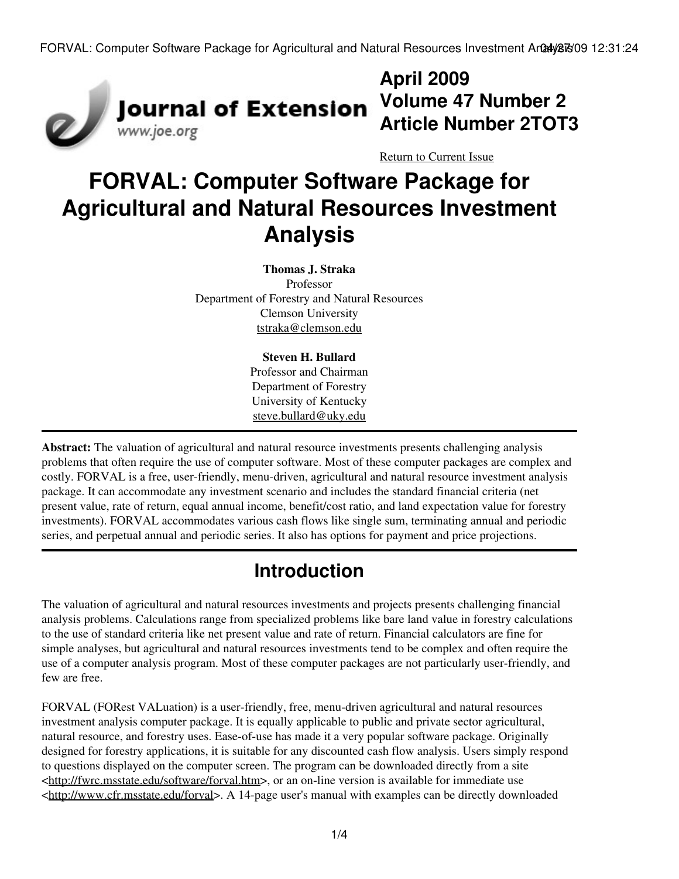

## **April 2009 Volume 47 Number 2 Article Number 2TOT3**

[Return to Current Issue](http://www.joe.org:80/joe/2009april/)

# **FORVAL: Computer Software Package for Agricultural and Natural Resources Investment Analysis**

#### **Thomas J. Straka**

Professor Department of Forestry and Natural Resources Clemson University [tstraka@clemson.edu](mailto:tstraka@clemson.edu)

#### **Steven H. Bullard**

Professor and Chairman Department of Forestry University of Kentucky [steve.bullard@uky.edu](mailto:steve.bullard@uky.edu)

**Abstract:** The valuation of agricultural and natural resource investments presents challenging analysis problems that often require the use of computer software. Most of these computer packages are complex and costly. FORVAL is a free, user-friendly, menu-driven, agricultural and natural resource investment analysis package. It can accommodate any investment scenario and includes the standard financial criteria (net present value, rate of return, equal annual income, benefit/cost ratio, and land expectation value for forestry investments). FORVAL accommodates various cash flows like single sum, terminating annual and periodic series, and perpetual annual and periodic series. It also has options for payment and price projections.

## **Introduction**

The valuation of agricultural and natural resources investments and projects presents challenging financial analysis problems. Calculations range from specialized problems like bare land value in forestry calculations to the use of standard criteria like net present value and rate of return. Financial calculators are fine for simple analyses, but agricultural and natural resources investments tend to be complex and often require the use of a computer analysis program. Most of these computer packages are not particularly user-friendly, and few are free.

FORVAL (FORest VALuation) is a user-friendly, free, menu-driven agricultural and natural resources investment analysis computer package. It is equally applicable to public and private sector agricultural, natural resource, and forestry uses. Ease-of-use has made it a very popular software package. Originally designed for forestry applications, it is suitable for any discounted cash flow analysis. Users simply respond to questions displayed on the computer screen. The program can be downloaded directly from a site <[http://fwrc.msstate.edu/software/forval.htm>](http://fwrc.msstate.edu/software/forval.htm), or an on-line version is available for immediate use <[http://www.cfr.msstate.edu/forval>](http://www.cfr.msstate.edu/forval). A 14-page user's manual with examples can be directly downloaded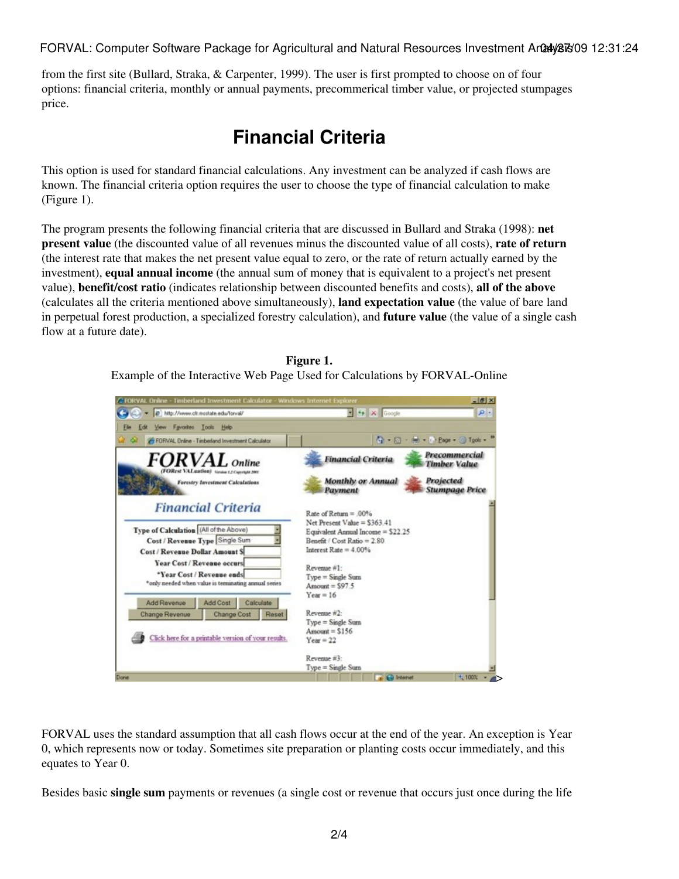FORVAL: Computer Software Package for Agricultural and Natural Resources Investment Analy 26/31:24

from the first site (Bullard, Straka, & Carpenter, 1999). The user is first prompted to choose on of four options: financial criteria, monthly or annual payments, precommerical timber value, or projected stumpages price.

## **Financial Criteria**

This option is used for standard financial calculations. Any investment can be analyzed if cash flows are known. The financial criteria option requires the user to choose the type of financial calculation to make (Figure 1).

The program presents the following financial criteria that are discussed in Bullard and Straka (1998): **net present value** (the discounted value of all revenues minus the discounted value of all costs), **rate of return** (the interest rate that makes the net present value equal to zero, or the rate of return actually earned by the investment), **equal annual income** (the annual sum of money that is equivalent to a project's net present value), **benefit/cost ratio** (indicates relationship between discounted benefits and costs), **all of the above** (calculates all the criteria mentioned above simultaneously), **land expectation value** (the value of bare land in perpetual forest production, a specialized forestry calculation), and **future value** (the value of a single cash flow at a future date).

> **Figure 1.** Example of the Interactive Web Page Used for Calculations by FORVAL-Online



FORVAL uses the standard assumption that all cash flows occur at the end of the year. An exception is Year 0, which represents now or today. Sometimes site preparation or planting costs occur immediately, and this equates to Year 0.

Besides basic **single sum** payments or revenues (a single cost or revenue that occurs just once during the life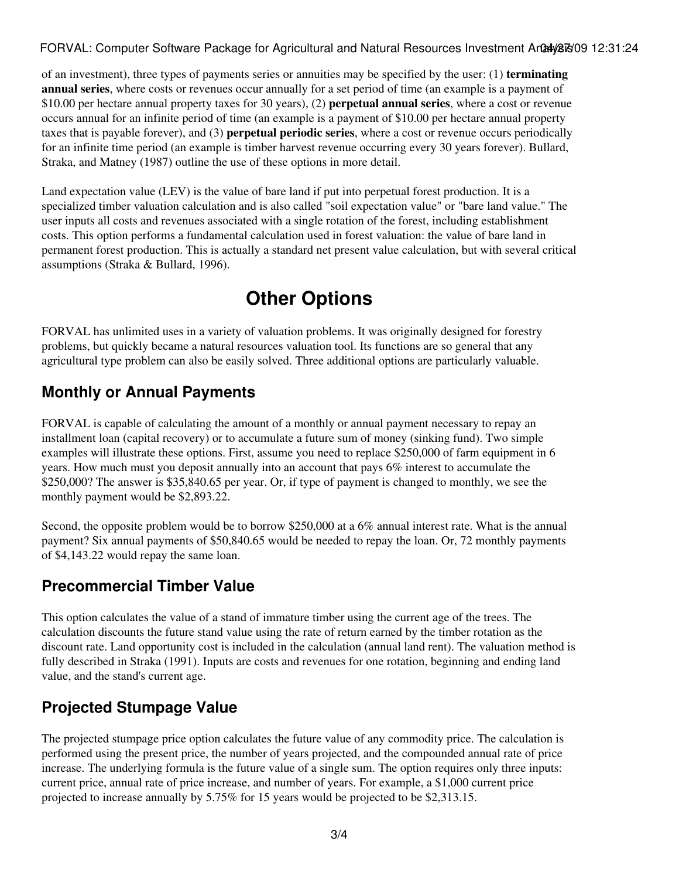#### FORVAL: Computer Software Package for Agricultural and Natural Resources Investment Analy 26/31:24

of an investment), three types of payments series or annuities may be specified by the user: (1) **terminating annual series**, where costs or revenues occur annually for a set period of time (an example is a payment of \$10.00 per hectare annual property taxes for 30 years), (2) **perpetual annual series**, where a cost or revenue occurs annual for an infinite period of time (an example is a payment of \$10.00 per hectare annual property taxes that is payable forever), and (3) **perpetual periodic series**, where a cost or revenue occurs periodically for an infinite time period (an example is timber harvest revenue occurring every 30 years forever). Bullard, Straka, and Matney (1987) outline the use of these options in more detail.

Land expectation value (LEV) is the value of bare land if put into perpetual forest production. It is a specialized timber valuation calculation and is also called "soil expectation value" or "bare land value." The user inputs all costs and revenues associated with a single rotation of the forest, including establishment costs. This option performs a fundamental calculation used in forest valuation: the value of bare land in permanent forest production. This is actually a standard net present value calculation, but with several critical assumptions (Straka & Bullard, 1996).

## **Other Options**

FORVAL has unlimited uses in a variety of valuation problems. It was originally designed for forestry problems, but quickly became a natural resources valuation tool. Its functions are so general that any agricultural type problem can also be easily solved. Three additional options are particularly valuable.

#### **Monthly or Annual Payments**

FORVAL is capable of calculating the amount of a monthly or annual payment necessary to repay an installment loan (capital recovery) or to accumulate a future sum of money (sinking fund). Two simple examples will illustrate these options. First, assume you need to replace \$250,000 of farm equipment in 6 years. How much must you deposit annually into an account that pays 6% interest to accumulate the \$250,000? The answer is \$35,840.65 per year. Or, if type of payment is changed to monthly, we see the monthly payment would be \$2,893.22.

Second, the opposite problem would be to borrow \$250,000 at a 6% annual interest rate. What is the annual payment? Six annual payments of \$50,840.65 would be needed to repay the loan. Or, 72 monthly payments of \$4,143.22 would repay the same loan.

#### **Precommercial Timber Value**

This option calculates the value of a stand of immature timber using the current age of the trees. The calculation discounts the future stand value using the rate of return earned by the timber rotation as the discount rate. Land opportunity cost is included in the calculation (annual land rent). The valuation method is fully described in Straka (1991). Inputs are costs and revenues for one rotation, beginning and ending land value, and the stand's current age.

#### **Projected Stumpage Value**

The projected stumpage price option calculates the future value of any commodity price. The calculation is performed using the present price, the number of years projected, and the compounded annual rate of price increase. The underlying formula is the future value of a single sum. The option requires only three inputs: current price, annual rate of price increase, and number of years. For example, a \$1,000 current price projected to increase annually by 5.75% for 15 years would be projected to be \$2,313.15.